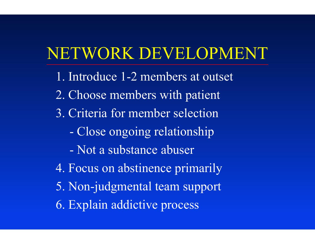# NETWORK DEVELOPMENT

- 1. Introduce 1-2 members at outset 2. C hoose members wit h patient 3. Criteria for membe r selection- C l ose ongoing relationship - Not a substance abuser 4. Focus on abstinence primarily
- 5. Non-j udgmental team support
- 6. Explain addictive process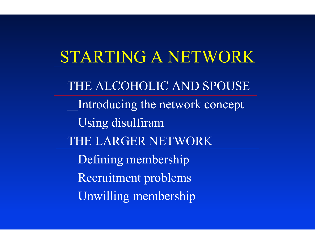### STARTING A NETWORK

THE ALCOHOLIC AND SPOUSE Int roducing the network concept Using disulfiram THE LARGER NETWORK Defining membership Recruitment probl ems Unwilling membership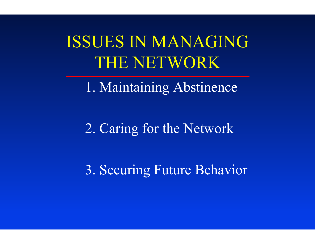ISSUES IN MANAGINGTHE NETWORK

1. Maintaining Abstinence

2. Caring for the Network

3. Securing Future Behavior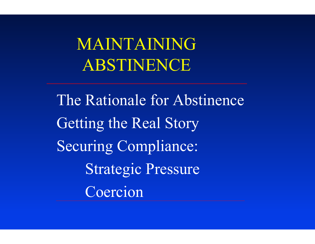MAINTAINING ABSTINENCE

The Rationale for Abstinence Getting the Real Story Securing Compliance: Strategic Pressure Coercion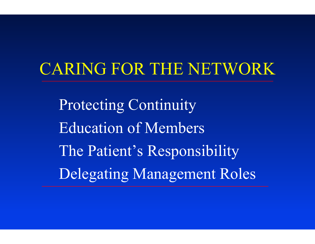# CARING FOR THE NETWORK

Protecting Continuity Education of Members The Patient's Responsibility Delegating Management Roles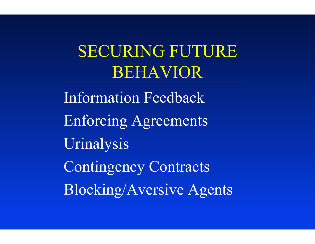SECURING FUTURE BEHAVIOR

Information Feedback Enforcing Agreements Urinalysis Contingency Contracts Blocking/Aversive Agents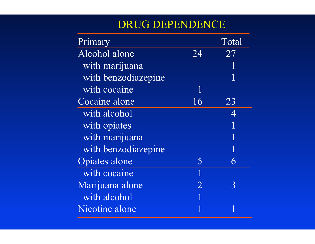#### DRUG DEPENDENCE

| Primary              |                | Total |
|----------------------|----------------|-------|
| Alcohol alone        | 24             | 27    |
| with marijuana       |                | 1     |
| with benzodiazepine  |                | 1     |
| with cocaine         | 1              |       |
| Cocaine alone        | 16             | 23    |
| with alcohol         |                | 4     |
| with opiates         |                | 1     |
| with marijuana       |                | 1     |
| with benzodiazepine  |                | 1     |
| <b>Opiates alone</b> | 5              | 6     |
| with cocaine         | $\mathbf 1$    |       |
| Marijuana alone      | $\overline{2}$ | 3     |
| with alcohol         |                |       |
| Nicotine alone       |                |       |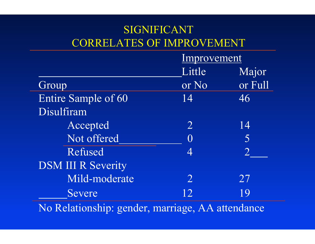#### SIGNIFICANT CORRELATES OF IMPROVEMENT

|                           |                   | Improvement |  |
|---------------------------|-------------------|-------------|--|
|                           | Little            | Major       |  |
| Group                     | or No             | or Full     |  |
| Entire Sample of 60       | 14                | 46          |  |
| Disulfiram                |                   |             |  |
| Accepted                  | $\overline{2}$    | 14          |  |
| Not offered               | $\bm{\mathrm{O}}$ | 5           |  |
| Refused                   | 4                 |             |  |
| <b>DSM III R Severity</b> |                   |             |  |
| Mild-moderate             | $\overline{2}$    | 27          |  |
| Severe                    | 12                | 19          |  |

No Relationship: gender, marriage, AA attendance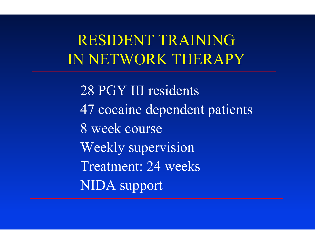### RESIDENT TRAINING IN NETWORK THERAPY

28 PGY III residents 47 cocaine dependent patients 8 week course Weekly supervision Treatment: 24 weeks NIDA support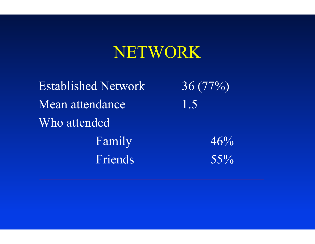# NETWORK

Established NetworkMean attendanceWho attendedFamily 46% Friends 55%

 36 (77%) 1.5